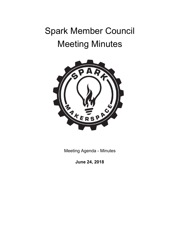# Spark Member Council Meeting Minutes



Meeting Agenda - Minutes

**June 24, 2018**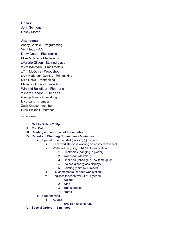## **Chairs:**

John Scimone Casey Moran

## **Attendees:**

Ashby Carlisle - Programming Vic Filepp - A/V Drew Gates - Electronics Mike Molinari - Electronics xValerie Gilson - Stained glass xKim Kantharaj - Small metals xTim McGuire - Woodshop xAly Maderson-Quinlog - Printmaking Nike Desis - Printmaking Melinda Quinn - Fiber arts Winifred Bellefleur - Fiber arts xSherri Condon - Fiber arts George Ryan - Coworking Liisa Lang - member Zach Krause - member Drew Bicknell - member

#### **X = not present**

#### **I. Call to Order - 2:08pm**

- **II. Roll Call**
- **III. Reading and approval of the minutes**

## **IV. Reports of Standing Committees - 5 minutes**

- a. Special: Summer Melt (July 29) @ hygienic
	- i. Each workstation is working on an interactive wall
	- ii. Walls will be going to NLMS for exhibition
		- 1. Electronics (hanging in plotter)
		- 2. Woodshop (dowels?)
		- 3. Fiber arts (fabric glue, low temp glue)
		- 4. Stained glass (glass display)
		- 5. Painting (paint by number)
	- iii. List of members for each workstation
	- iv. Logistics for each wall (4'\*8' plywood )
		- 1. Weight
		- 2. Wind
		- 3. Transportation
		- 4. Frame?
	- b. Programming
		- i. August
			- 1.  $50\%$  fill = second run?

#### **V. Special Orders - 15 minutes**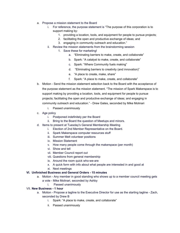- a. Propose a mission statement to the Board
	- i. For reference, the purpose statement is "The purpose of this corporation is to support making by:
		- 1. providing a location, tools, and equipment for people to pursue projects;
		- 2. facilitating the open and productive exchange of ideas; and
		- 3. engaging in community outreach and education."
	- ii. Review the mission statements from the brainstorming session
		- 1. Save these for marketing!
			- a. "Eliminating barriers to make, create, and collaborate"
			- b. Spark: "A catalyst to make, create, and collaborate"
			- c. Spark: "Where Community fuels making"
			- d. "Eliminating barriers to creativity (and innovation)"
			- e. "A place to create, make, share"
			- f. Spark: "A place to make, create, and collaborate"
- b. Motion Send the mission statement selection back to the Board with the acceptance of the purpose statement as the mission statement. "The mission of Spark Makerspace is to support making by providing a location, tools, and equipment for people to pursue projects; facilitating the open and productive exchange of ideas; and engaging in community outreach and education." - Drew Gates, seconded by Mike Molinari
	- i. Passed unanimously
- c. Age policy
	- i. Postponed indefinitely per the Board
	- ii. Bring to the Board the question of Meetups and minors.
- d. Items to present at Tuesday's General Membership Meeting
	- i. Election of 2nd Member Representative on the Board.
	- ii. Spark Makerspace computer resources stuff
	- iii. Summer Melt volunteer positions
	- iv. Mission Statement
	- v. How many people come through the makerspace (per month)
	- vi. Show and tell
	- vii. Member Council report out
	- viii. Questions from general membership
	- ix. Around the room quick who-we-are
	- x. A quick form with info about what people are interested in and good at
	- xi. Next meetings

## **VI. Unfinished Business and General Orders - 15 minutes**

- a. Motion Any member in good standing who shows up to a member council meeting gets a vote - Mike Molinari, seconded by Ashby
	- i. Passed unanimously

## VII. **New Business - 1 hour**

- a. Motion Propose a tagline to the Executive Director for use as the starting tagline Zach, seconded by Drew B
	- i. Spark: "A place to make, create, and collaborate"
	- ii. Passed unanimously